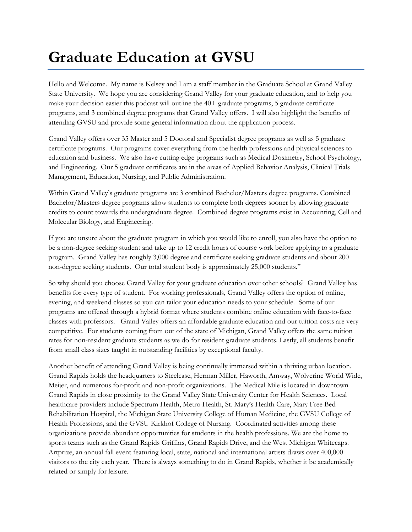## **Graduate Education at GVSU**

Hello and Welcome. My name is Kelsey and I am a staff member in the Graduate School at Grand Valley State University. We hope you are considering Grand Valley for your graduate education, and to help you make your decision easier this podcast will outline the 40+ graduate programs, 5 graduate certificate programs, and 3 combined degree programs that Grand Valley offers. I will also highlight the benefits of attending GVSU and provide some general information about the application process.

Grand Valley offers over 35 Master and 5 Doctoral and Specialist degree programs as well as 5 graduate certificate programs. Our programs cover everything from the health professions and physical sciences to education and business. We also have cutting edge programs such as Medical Dosimetry, School Psychology, and Engineering. Our 5 graduate certificates are in the areas of Applied Behavior Analysis, Clinical Trials Management, Education, Nursing, and Public Administration.

Within Grand Valley's graduate programs are 3 combined Bachelor/Masters degree programs. Combined Bachelor/Masters degree programs allow students to complete both degrees sooner by allowing graduate credits to count towards the undergraduate degree. Combined degree programs exist in Accounting, Cell and Molecular Biology, and Engineering.

If you are unsure about the graduate program in which you would like to enroll, you also have the option to be a non-degree seeking student and take up to 12 credit hours of course work before applying to a graduate program. Grand Valley has roughly 3,000 degree and certificate seeking graduate students and about 200 non-degree seeking students. Our total student body is approximately 25,000 students."

So why should you choose Grand Valley for your graduate education over other schools? Grand Valley has benefits for every type of student. For working professionals, Grand Valley offers the option of online, evening, and weekend classes so you can tailor your education needs to your schedule. Some of our programs are offered through a hybrid format where students combine online education with face-to-face classes with professors. Grand Valley offers an affordable graduate education and our tuition costs are very competitive. For students coming from out of the state of Michigan, Grand Valley offers the same tuition rates for non-resident graduate students as we do for resident graduate students. Lastly, all students benefit from small class sizes taught in outstanding facilities by exceptional faculty.

Another benefit of attending Grand Valley is being continually immersed within a thriving urban location. Grand Rapids holds the headquarters to Steelcase, Herman Miller, Haworth, Amway, Wolverine World Wide, Meijer, and numerous for-profit and non-profit organizations. The Medical Mile is located in downtown Grand Rapids in close proximity to the Grand Valley State University Center for Health Sciences. Local healthcare providers include Spectrum Health, Metro Health, St. Mary's Health Care, Mary Free Bed Rehabilitation Hospital, the Michigan State University College of Human Medicine, the GVSU College of Health Professions, and the GVSU Kirkhof College of Nursing. Coordinated activities among these organizations provide abundant opportunities for students in the health professions. We are the home to sports teams such as the Grand Rapids Griffins, Grand Rapids Drive, and the West Michigan Whitecaps. Artprize, an annual fall event featuring local, state, national and international artists draws over 400,000 visitors to the city each year. There is always something to do in Grand Rapids, whether it be academically related or simply for leisure.